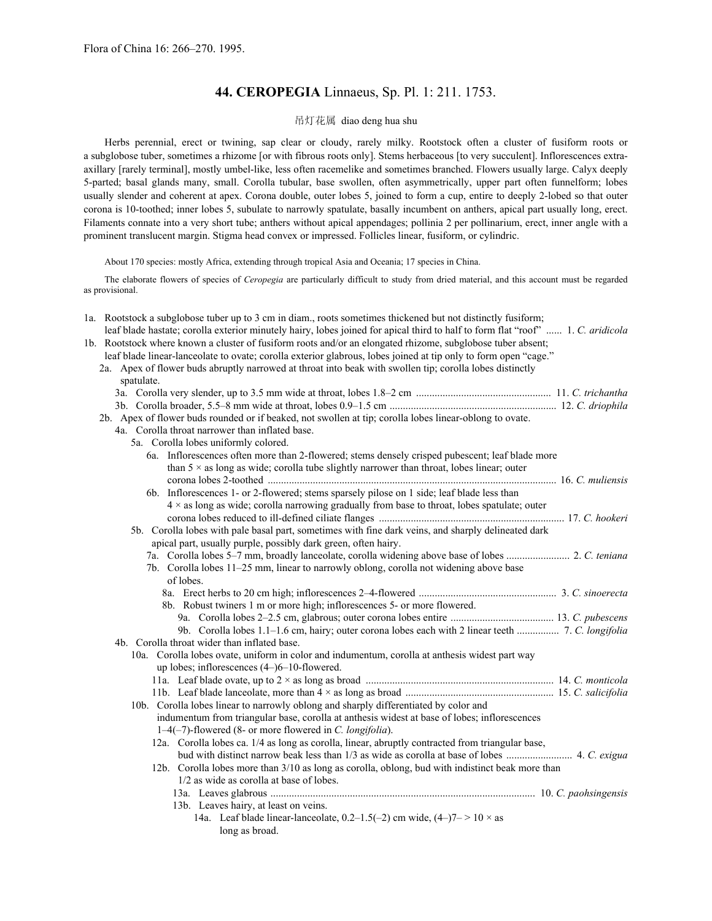# **44. CEROPEGIA** Linnaeus, Sp. Pl. 1: 211. 1753.

# 吊灯花属 diao deng hua shu

Herbs perennial, erect or twining, sap clear or cloudy, rarely milky. Rootstock often a cluster of fusiform roots or a subglobose tuber, sometimes a rhizome [or with fibrous roots only]. Stems herbaceous [to very succulent]. Inflorescences extraaxillary [rarely terminal], mostly umbel-like, less often racemelike and sometimes branched. Flowers usually large. Calyx deeply 5-parted; basal glands many, small. Corolla tubular, base swollen, often asymmetrically, upper part often funnelform; lobes usually slender and coherent at apex. Corona double, outer lobes 5, joined to form a cup, entire to deeply 2-lobed so that outer corona is 10-toothed; inner lobes 5, subulate to narrowly spatulate, basally incumbent on anthers, apical part usually long, erect. Filaments connate into a very short tube; anthers without apical appendages; pollinia 2 per pollinarium, erect, inner angle with a prominent translucent margin. Stigma head convex or impressed. Follicles linear, fusiform, or cylindric.

About 170 species: mostly Africa, extending through tropical Asia and Oceania; 17 species in China.

The elaborate flowers of species of *Ceropegia* are particularly difficult to study from dried material, and this account must be regarded as provisional.

| 1a. Rootstock a subglobose tuber up to 3 cm in diam., roots sometimes thickened but not distinctly fusiform;<br>leaf blade hastate; corolla exterior minutely hairy, lobes joined for apical third to half to form flat "roof"  1. C. aridicola<br>1b. Rootstock where known a cluster of fusiform roots and/or an elongated rhizome, subglobose tuber absent;<br>leaf blade linear-lanceolate to ovate; corolla exterior glabrous, lobes joined at tip only to form open "cage."<br>2a. Apex of flower buds abruptly narrowed at throat into beak with swollen tip; corolla lobes distinctly<br>spatulate. |  |
|-------------------------------------------------------------------------------------------------------------------------------------------------------------------------------------------------------------------------------------------------------------------------------------------------------------------------------------------------------------------------------------------------------------------------------------------------------------------------------------------------------------------------------------------------------------------------------------------------------------|--|
|                                                                                                                                                                                                                                                                                                                                                                                                                                                                                                                                                                                                             |  |
|                                                                                                                                                                                                                                                                                                                                                                                                                                                                                                                                                                                                             |  |
| 2b. Apex of flower buds rounded or if beaked, not swollen at tip; corolla lobes linear-oblong to ovate.<br>4a. Corolla throat narrower than inflated base.                                                                                                                                                                                                                                                                                                                                                                                                                                                  |  |
| 5a. Corolla lobes uniformly colored.                                                                                                                                                                                                                                                                                                                                                                                                                                                                                                                                                                        |  |
| 6a. Inflorescences often more than 2-flowered; stems densely crisped pubescent; leaf blade more                                                                                                                                                                                                                                                                                                                                                                                                                                                                                                             |  |
| than $5 \times$ as long as wide; corolla tube slightly narrower than throat, lobes linear; outer                                                                                                                                                                                                                                                                                                                                                                                                                                                                                                            |  |
|                                                                                                                                                                                                                                                                                                                                                                                                                                                                                                                                                                                                             |  |
| 6b. Inflorescences 1- or 2-flowered; stems sparsely pilose on 1 side; leaf blade less than                                                                                                                                                                                                                                                                                                                                                                                                                                                                                                                  |  |
| 4 x as long as wide; corolla narrowing gradually from base to throat, lobes spatulate; outer                                                                                                                                                                                                                                                                                                                                                                                                                                                                                                                |  |
|                                                                                                                                                                                                                                                                                                                                                                                                                                                                                                                                                                                                             |  |
| 5b. Corolla lobes with pale basal part, sometimes with fine dark veins, and sharply delineated dark                                                                                                                                                                                                                                                                                                                                                                                                                                                                                                         |  |
| apical part, usually purple, possibly dark green, often hairy.                                                                                                                                                                                                                                                                                                                                                                                                                                                                                                                                              |  |
|                                                                                                                                                                                                                                                                                                                                                                                                                                                                                                                                                                                                             |  |
| 7b. Corolla lobes 11–25 mm, linear to narrowly oblong, corolla not widening above base                                                                                                                                                                                                                                                                                                                                                                                                                                                                                                                      |  |
| of lobes.                                                                                                                                                                                                                                                                                                                                                                                                                                                                                                                                                                                                   |  |
|                                                                                                                                                                                                                                                                                                                                                                                                                                                                                                                                                                                                             |  |
| 8b. Robust twiners 1 m or more high; inflorescences 5- or more flowered.                                                                                                                                                                                                                                                                                                                                                                                                                                                                                                                                    |  |
|                                                                                                                                                                                                                                                                                                                                                                                                                                                                                                                                                                                                             |  |
| 9b. Corolla lobes 1.1-1.6 cm, hairy; outer corona lobes each with 2 linear teeth  7. C. longifolia                                                                                                                                                                                                                                                                                                                                                                                                                                                                                                          |  |
| 4b. Corolla throat wider than inflated base.                                                                                                                                                                                                                                                                                                                                                                                                                                                                                                                                                                |  |
| 10a. Corolla lobes ovate, uniform in color and indumentum, corolla at anthesis widest part way                                                                                                                                                                                                                                                                                                                                                                                                                                                                                                              |  |
| up lobes; inflorescences $(4-)6-10$ -flowered.                                                                                                                                                                                                                                                                                                                                                                                                                                                                                                                                                              |  |
|                                                                                                                                                                                                                                                                                                                                                                                                                                                                                                                                                                                                             |  |
|                                                                                                                                                                                                                                                                                                                                                                                                                                                                                                                                                                                                             |  |
| 10b. Corolla lobes linear to narrowly oblong and sharply differentiated by color and                                                                                                                                                                                                                                                                                                                                                                                                                                                                                                                        |  |
| indumentum from triangular base, corolla at anthesis widest at base of lobes; inflorescences                                                                                                                                                                                                                                                                                                                                                                                                                                                                                                                |  |
| $1-4(-7)$ -flowered (8- or more flowered in C. longifolia).                                                                                                                                                                                                                                                                                                                                                                                                                                                                                                                                                 |  |
| 12a. Corolla lobes ca. 1/4 as long as corolla, linear, abruptly contracted from triangular base,                                                                                                                                                                                                                                                                                                                                                                                                                                                                                                            |  |
|                                                                                                                                                                                                                                                                                                                                                                                                                                                                                                                                                                                                             |  |
| 12b. Corolla lobes more than 3/10 as long as corolla, oblong, bud with indistinct beak more than                                                                                                                                                                                                                                                                                                                                                                                                                                                                                                            |  |
| 1/2 as wide as corolla at base of lobes.                                                                                                                                                                                                                                                                                                                                                                                                                                                                                                                                                                    |  |
|                                                                                                                                                                                                                                                                                                                                                                                                                                                                                                                                                                                                             |  |
| 13b. Leaves hairy, at least on veins.                                                                                                                                                                                                                                                                                                                                                                                                                                                                                                                                                                       |  |
| 14a. Leaf blade linear-lanceolate, 0.2–1.5(-2) cm wide, $(4-)7->10 \times$ as                                                                                                                                                                                                                                                                                                                                                                                                                                                                                                                               |  |
| long as broad.                                                                                                                                                                                                                                                                                                                                                                                                                                                                                                                                                                                              |  |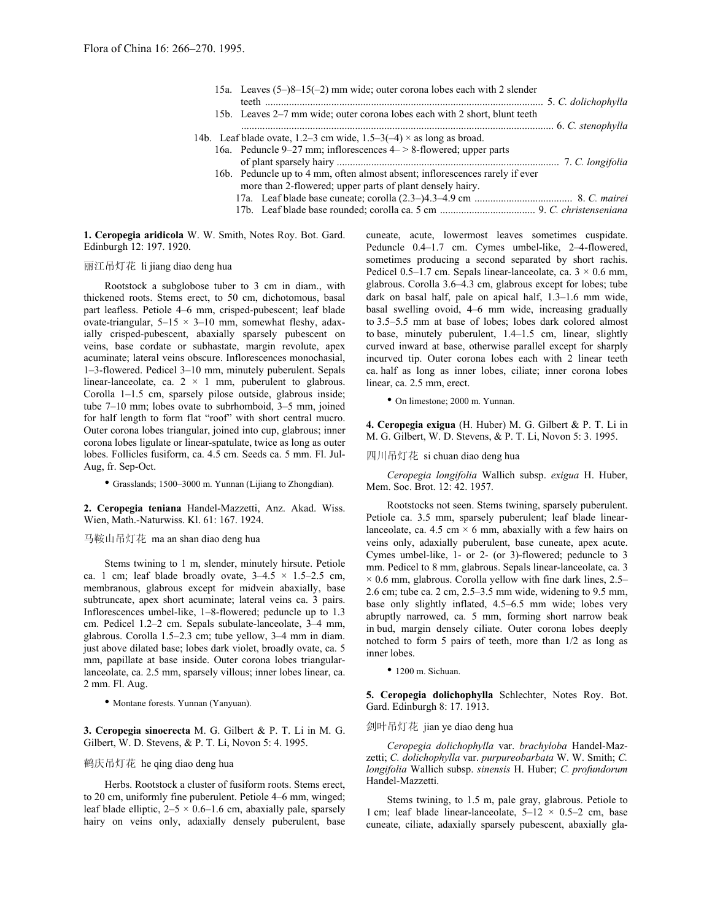| 15a. Leaves $(5-)8-15(-2)$ mm wide; outer corona lobes each with 2 slender                                                                |  |
|-------------------------------------------------------------------------------------------------------------------------------------------|--|
| 15b. Leaves 2–7 mm wide; outer corona lobes each with 2 short, blunt teeth                                                                |  |
| 14b. Leaf blade ovate, 1.2–3 cm wide, $1.5-3(-4) \times$ as long as broad.                                                                |  |
| 16a. Peduncle 9–27 mm; inflorescences $4$ – $>$ 8-flowered; upper parts                                                                   |  |
| 16b. Peduncle up to 4 mm, often almost absent; inflorescences rarely if ever<br>more than 2-flowered; upper parts of plant densely hairy. |  |
|                                                                                                                                           |  |

**1. Ceropegia aridicola** W. W. Smith, Notes Roy. Bot. Gard. Edinburgh 12: 197. 1920.

# 丽江吊灯花 li jiang diao deng hua

Rootstock a subglobose tuber to 3 cm in diam., with thickened roots. Stems erect, to 50 cm, dichotomous, basal part leafless. Petiole 4–6 mm, crisped-pubescent; leaf blade ovate-triangular,  $5-15 \times 3-10$  mm, somewhat fleshy, adaxially crisped-pubescent, abaxially sparsely pubescent on veins, base cordate or subhastate, margin revolute, apex acuminate; lateral veins obscure. Inflorescences monochasial, 1–3-flowered. Pedicel 3–10 mm, minutely puberulent. Sepals linear-lanceolate, ca.  $2 \times 1$  mm, puberulent to glabrous. Corolla 1–1.5 cm, sparsely pilose outside, glabrous inside; tube 7–10 mm; lobes ovate to subrhomboid, 3–5 mm, joined for half length to form flat "roof" with short central mucro. Outer corona lobes triangular, joined into cup, glabrous; inner corona lobes ligulate or linear-spatulate, twice as long as outer lobes. Follicles fusiform, ca. 4.5 cm. Seeds ca. 5 mm. Fl. Jul-Aug, fr. Sep-Oct.

• Grasslands; 1500–3000 m. Yunnan (Lijiang to Zhongdian).

**2. Ceropegia teniana** Handel-Mazzetti, Anz. Akad. Wiss. Wien, Math.-Naturwiss. Kl. 61: 167. 1924.

# 马鞍山吊灯花 ma an shan diao deng hua

Stems twining to 1 m, slender, minutely hirsute. Petiole ca. 1 cm; leaf blade broadly ovate,  $3-4.5 \times 1.5-2.5$  cm, membranous, glabrous except for midvein abaxially, base subtruncate, apex short acuminate; lateral veins ca. 3 pairs. Inflorescences umbel-like, 1–8-flowered; peduncle up to 1.3 cm. Pedicel 1.2–2 cm. Sepals subulate-lanceolate, 3–4 mm, glabrous. Corolla 1.5–2.3 cm; tube yellow, 3–4 mm in diam. just above dilated base; lobes dark violet, broadly ovate, ca. 5 mm, papillate at base inside. Outer corona lobes triangularlanceolate, ca. 2.5 mm, sparsely villous; inner lobes linear, ca. 2 mm. Fl. Aug.

• Montane forests. Yunnan (Yanyuan).

**3. Ceropegia sinoerecta** M. G. Gilbert & P. T. Li in M. G. Gilbert, W. D. Stevens, & P. T. Li, Novon 5: 4. 1995.

#### 鹤庆吊灯花 he qing diao deng hua

Herbs. Rootstock a cluster of fusiform roots. Stems erect, to 20 cm, uniformly fine puberulent. Petiole 4–6 mm, winged; leaf blade elliptic,  $2-5 \times 0.6-1.6$  cm, abaxially pale, sparsely hairy on veins only, adaxially densely puberulent, base cuneate, acute, lowermost leaves sometimes cuspidate. Peduncle 0.4–1.7 cm. Cymes umbel-like, 2–4-flowered, sometimes producing a second separated by short rachis. Pedicel 0.5–1.7 cm. Sepals linear-lanceolate, ca.  $3 \times 0.6$  mm, glabrous. Corolla 3.6–4.3 cm, glabrous except for lobes; tube dark on basal half, pale on apical half, 1.3–1.6 mm wide, basal swelling ovoid, 4–6 mm wide, increasing gradually to 3.5–5.5 mm at base of lobes; lobes dark colored almost to base, minutely puberulent, 1.4–1.5 cm, linear, slightly curved inward at base, otherwise parallel except for sharply incurved tip. Outer corona lobes each with 2 linear teeth ca. half as long as inner lobes, ciliate; inner corona lobes linear, ca. 2.5 mm, erect.

• On limestone; 2000 m. Yunnan.

**4. Ceropegia exigua** (H. Huber) M. G. Gilbert & P. T. Li in M. G. Gilbert, W. D. Stevens, & P. T. Li, Novon 5: 3. 1995.

#### 四川吊灯花 si chuan diao deng hua

*Ceropegia longifolia* Wallich subsp. *exigua* H. Huber, Mem. Soc. Brot. 12: 42. 1957.

Rootstocks not seen. Stems twining, sparsely puberulent. Petiole ca. 3.5 mm, sparsely puberulent; leaf blade linearlanceolate, ca. 4.5 cm  $\times$  6 mm, abaxially with a few hairs on veins only, adaxially puberulent, base cuneate, apex acute. Cymes umbel-like, 1- or 2- (or 3)-flowered; peduncle to 3 mm. Pedicel to 8 mm, glabrous. Sepals linear-lanceolate, ca. 3  $\times$  0.6 mm, glabrous. Corolla yellow with fine dark lines, 2.5– 2.6 cm; tube ca. 2 cm, 2.5–3.5 mm wide, widening to 9.5 mm, base only slightly inflated, 4.5–6.5 mm wide; lobes very abruptly narrowed, ca. 5 mm, forming short narrow beak in bud, margin densely ciliate. Outer corona lobes deeply notched to form 5 pairs of teeth, more than 1/2 as long as inner lobes.

• 1200 m. Sichuan.

**5. Ceropegia dolichophylla** Schlechter, Notes Roy. Bot. Gard. Edinburgh 8: 17. 1913.

## 剑叶吊灯花 jian ye diao deng hua

*Ceropegia dolichophylla* var. *brachyloba* Handel-Mazzetti; *C. dolichophylla* var. *purpureobarbata* W. W. Smith; *C. longifolia* Wallich subsp. *sinensis* H. Huber; *C. profundorum*  Handel-Mazzetti.

Stems twining, to 1.5 m, pale gray, glabrous. Petiole to 1 cm; leaf blade linear-lanceolate,  $5-12 \times 0.5-2$  cm, base cuneate, ciliate, adaxially sparsely pubescent, abaxially gla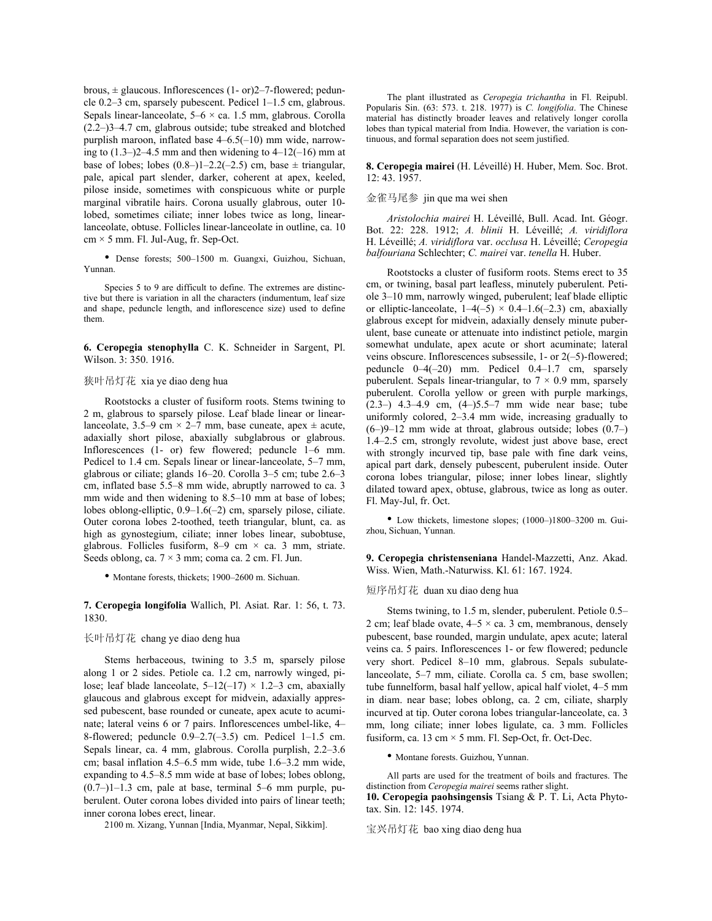brous,  $\pm$  glaucous. Inflorescences (1- or)2–7-flowered; peduncle 0.2–3 cm, sparsely pubescent. Pedicel 1–1.5 cm, glabrous. Sepals linear-lanceolate,  $5-6 \times ca$ . 1.5 mm, glabrous. Corolla (2.2–)3–4.7 cm, glabrous outside; tube streaked and blotched purplish maroon, inflated base 4–6.5(–10) mm wide, narrowing to  $(1.3-2)$ -4.5 mm and then widening to 4–12(–16) mm at base of lobes; lobes  $(0.8–)1–2.2(-2.5)$  cm, base  $\pm$  triangular, pale, apical part slender, darker, coherent at apex, keeled, pilose inside, sometimes with conspicuous white or purple marginal vibratile hairs. Corona usually glabrous, outer 10 lobed, sometimes ciliate; inner lobes twice as long, linearlanceolate, obtuse. Follicles linear-lanceolate in outline, ca. 10  $cm \times 5$  mm. Fl. Jul-Aug, fr. Sep-Oct.

*balfouriana* Schlechter; *C. mairei* var. *tenella* H. Huber. • Dense forests; 500–1500 m. Guangxi, Guizhou, Sichuan,

Species 5 to 9 are difficult to define. The extremes are distinctive but there is variation in all the characters (indumentum, leaf size and shape, peduncle length, and inflorescence size) used to define them.

**6. Ceropegia stenophylla** C. K. Schneider in Sargent, Pl. Wilson. 3: 350. 1916.

## 狭叶吊灯花 xia ye diao deng hua

Rootstocks a cluster of fusiform roots. Stems twining to 2 m, glabrous to sparsely pilose. Leaf blade linear or linearlanceolate, 3.5–9 cm  $\times$  2–7 mm, base cuneate, apex  $\pm$  acute, adaxially short pilose, abaxially subglabrous or glabrous. Inflorescences (1- or) few flowered; peduncle 1–6 mm. Pedicel to 1.4 cm. Sepals linear or linear-lanceolate, 5–7 mm, glabrous or ciliate; glands 16–20. Corolla 3–5 cm; tube 2.6–3 cm, inflated base 5.5–8 mm wide, abruptly narrowed to ca. 3 mm wide and then widening to 8.5–10 mm at base of lobes; lobes oblong-elliptic, 0.9–1.6(–2) cm, sparsely pilose, ciliate. Outer corona lobes 2-toothed, teeth triangular, blunt, ca. as high as gynostegium, ciliate; inner lobes linear, subobtuse, glabrous. Follicles fusiform,  $8-9$  cm  $\times$  ca. 3 mm, striate. Seeds oblong, ca.  $7 \times 3$  mm; coma ca. 2 cm. Fl. Jun.

## **7. Ceropegia longifolia** Wallich, Pl. Asiat. Rar. 1: 56, t. 73. 1830. Stems twining, to 1.5 m, slender, puberulent. Petiole 0.5–1830.

## 长叶吊灯花 chang ye diao deng hua

Stems herbaceous, twining to 3.5 m, sparsely pilose along 1 or 2 sides. Petiole ca. 1.2 cm, narrowly winged, pilose; leaf blade lanceolate,  $5-12(-17) \times 1.2-3$  cm, abaxially glaucous and glabrous except for midvein, adaxially appressed pubescent, base rounded or cuneate, apex acute to acuminate; lateral veins 6 or 7 pairs. Inflorescences umbel-like, 4– 8-flowered; peduncle 0.9–2.7(–3.5) cm. Pedicel 1–1.5 cm. Sepals linear, ca. 4 mm, glabrous. Corolla purplish, 2.2–3.6 cm; basal inflation 4.5–6.5 mm wide, tube 1.6–3.2 mm wide, expanding to 4.5–8.5 mm wide at base of lobes; lobes oblong,  $(0.7–)1–1.3$  cm, pale at base, terminal 5–6 mm purple, puberulent. Outer corona lobes divided into pairs of linear teeth; inner corona lobes erect, linear.

2100 m. Xizang, Yunnan [India, Myanmar, Nepal, Sikkim]. 宝兴吊灯花 bao xing diao deng hua

The plant illustrated as *Ceropegia trichantha* in Fl. Reipubl. Popularis Sin. (63: 573. t. 218. 1977) is *C. longifolia*. The Chinese material has distinctly broader leaves and relatively longer corolla lobes than typical material from India. However, the variation is continuous, and formal separation does not seem justified.

**8. Ceropegia mairei** (H. Léveillé) H. Huber, Mem. Soc. Brot. 12: 43. 1957.

#### 金雀马尾参 jin que ma wei shen

*Aristolochia mairei* H. Léveillé, Bull. Acad. Int. Géogr. Bot. 22: 228. 1912; *A. blinii* H. Léveillé; *A. viridiflora* H. Léveillé; *A. viridiflora* var. *occlusa* H. Léveillé; *Ceropegia*

Rootstocks a cluster of fusiform roots. Stems erect to 35 cm, or twining, basal part leafless, minutely puberulent. Petiole 3–10 mm, narrowly winged, puberulent; leaf blade elliptic or elliptic-lanceolate,  $1-4(-5) \times 0.4-1.6(-2.3)$  cm, abaxially glabrous except for midvein, adaxially densely minute puberulent, base cuneate or attenuate into indistinct petiole, margin somewhat undulate, apex acute or short acuminate; lateral veins obscure. Inflorescences subsessile, 1- or 2(–5)-flowered; peduncle 0–4(–20) mm. Pedicel 0.4–1.7 cm, sparsely puberulent. Sepals linear-triangular, to  $7 \times 0.9$  mm, sparsely puberulent. Corolla yellow or green with purple markings, (2.3–) 4.3–4.9 cm, (4–)5.5–7 mm wide near base; tube uniformly colored, 2–3.4 mm wide, increasing gradually to (6–)9–12 mm wide at throat, glabrous outside; lobes (0.7–) 1.4–2.5 cm, strongly revolute, widest just above base, erect with strongly incurved tip, base pale with fine dark veins, apical part dark, densely pubescent, puberulent inside. Outer corona lobes triangular, pilose; inner lobes linear, slightly dilated toward apex, obtuse, glabrous, twice as long as outer. Fl. May-Jul, fr. Oct.

• Low thickets, limestone slopes; (1000–)1800–3200 m. Guizhou, Sichuan, Yunnan.

**9. Ceropegia christenseniana** Handel-Mazzetti, Anz. Akad. Wiss. Wien, Math.-Naturwiss. Kl. 61: 167. 1924. • Montane forests, thickets; 1900–2600 m. Sichuan.

#### 短序吊灯花 duan xu diao deng hua

2 cm; leaf blade ovate,  $4-5 \times$  ca. 3 cm, membranous, densely pubescent, base rounded, margin undulate, apex acute; lateral veins ca. 5 pairs. Inflorescences 1- or few flowered; peduncle very short. Pedicel 8–10 mm, glabrous. Sepals subulatelanceolate, 5–7 mm, ciliate. Corolla ca. 5 cm, base swollen; tube funnelform, basal half yellow, apical half violet, 4–5 mm in diam. near base; lobes oblong, ca. 2 cm, ciliate, sharply incurved at tip. Outer corona lobes triangular-lanceolate, ca. 3 mm, long ciliate; inner lobes ligulate, ca. 3 mm. Follicles fusiform, ca.  $13 \text{ cm} \times 5 \text{ mm}$ . Fl. Sep-Oct, fr. Oct-Dec.

• Montane forests. Guizhou, Yunnan.

All parts are used for the treatment of boils and fractures. The distinction from *Ceropegia mairei* seems rather slight. **10. Ceropegia paohsingensis** Tsiang & P. T. Li, Acta Phytotax. Sin. 12: 145. 1974.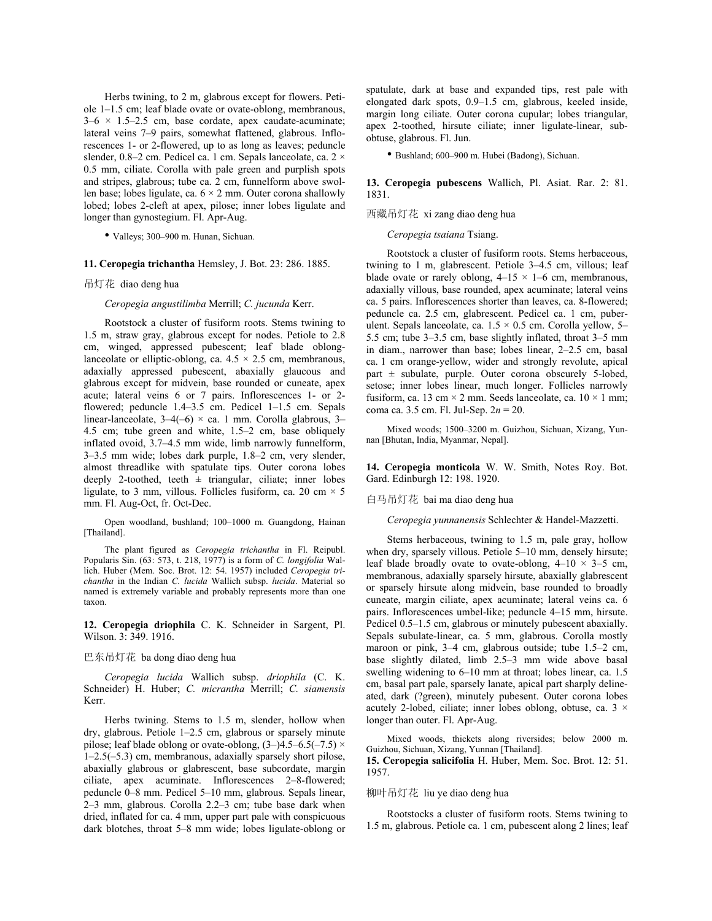Herbs twining, to 2 m, glabrous except for flowers. Petiole 1–1.5 cm; leaf blade ovate or ovate-oblong, membranous,  $3-6 \times 1.5-2.5$  cm, base cordate, apex caudate-acuminate; lateral veins 7–9 pairs, somewhat flattened, glabrous. Inflorescences 1- or 2-flowered, up to as long as leaves; peduncle slender, 0.8–2 cm. Pedicel ca. 1 cm. Sepals lanceolate, ca. 2  $\times$ 0.5 mm, ciliate. Corolla with pale green and purplish spots and stripes, glabrous; tube ca. 2 cm, funnelform above swollen base; lobes ligulate, ca.  $6 \times 2$  mm. Outer corona shallowly lobed; lobes 2-cleft at apex, pilose; inner lobes ligulate and longer than gynostegium. Fl. Apr-Aug.

• Valleys; 300–900 m. Hunan, Sichuan.

#### **11. Ceropegia trichantha** Hemsley, J. Bot. 23: 286. 1885.

吊灯花 diao deng hua

*Ceropegia angustilimba* Merrill; *C. jucunda* Kerr.

Rootstock a cluster of fusiform roots. Stems twining to 1.5 m, straw gray, glabrous except for nodes. Petiole to 2.8 cm, winged, appressed pubescent; leaf blade oblonglanceolate or elliptic-oblong, ca.  $4.5 \times 2.5$  cm, membranous, adaxially appressed pubescent, abaxially glaucous and glabrous except for midvein, base rounded or cuneate, apex acute; lateral veins 6 or 7 pairs. Inflorescences 1- or 2 flowered; peduncle 1.4–3.5 cm. Pedicel 1–1.5 cm. Sepals linear-lanceolate,  $3-4(-6) \times$  ca. 1 mm. Corolla glabrous, 3-4.5 cm; tube green and white, 1.5–2 cm, base obliquely inflated ovoid, 3.7–4.5 mm wide, limb narrowly funnelform, 3–3.5 mm wide; lobes dark purple, 1.8–2 cm, very slender, almost threadlike with spatulate tips. Outer corona lobes deeply 2-toothed, teeth  $\pm$  triangular, ciliate; inner lobes ligulate, to 3 mm, villous. Follicles fusiform, ca. 20 cm  $\times$  5 mm. Fl. Aug-Oct, fr. Oct-Dec.

Open woodland, bushland; 100–1000 m. Guangdong, Hainan [Thailand].

The plant figured as *Ceropegia trichantha* in Fl. Reipubl. Popularis Sin. (63: 573, t. 218, 1977) is a form of *C. longifolia* Wallich. Huber (Mem. Soc. Brot. 12: 54. 1957) included *Ceropegia trichantha* in the Indian *C. lucida* Wallich subsp. *lucida*. Material so named is extremely variable and probably represents more than one taxon.

**12. Ceropegia driophila** C. K. Schneider in Sargent, Pl. Wilson. 3: 349. 1916.

# 巴东吊灯花 ba dong diao deng hua

*Ceropegia lucida* Wallich subsp. *driophila* (C. K. Schneider) H. Huber; *C. micrantha* Merrill; *C. siamensis* Kerr.

Herbs twining. Stems to 1.5 m, slender, hollow when dry, glabrous. Petiole 1–2.5 cm, glabrous or sparsely minute pilose; leaf blade oblong or ovate-oblong,  $(3-)$ 4.5–6.5(–7.5) × 1–2.5(–5.3) cm, membranous, adaxially sparsely short pilose, abaxially glabrous or glabrescent, base subcordate, margin ciliate, apex acuminate. Inflorescences 2–8-flowered; peduncle 0–8 mm. Pedicel 5–10 mm, glabrous. Sepals linear, 2–3 mm, glabrous. Corolla 2.2–3 cm; tube base dark when dried, inflated for ca. 4 mm, upper part pale with conspicuous dark blotches, throat 5–8 mm wide; lobes ligulate-oblong or spatulate, dark at base and expanded tips, rest pale with elongated dark spots, 0.9–1.5 cm, glabrous, keeled inside, margin long ciliate. Outer corona cupular; lobes triangular, apex 2-toothed, hirsute ciliate; inner ligulate-linear, subobtuse, glabrous. Fl. Jun.

• Bushland; 600–900 m. Hubei (Badong), Sichuan.

# **13. Ceropegia pubescens** Wallich, Pl. Asiat. Rar. 2: 81. 1831.

#### 西藏吊灯花 xi zang diao deng hua

*Ceropegia tsaiana* Tsiang.

Rootstock a cluster of fusiform roots. Stems herbaceous, twining to 1 m, glabrescent. Petiole 3–4.5 cm, villous; leaf blade ovate or rarely oblong,  $4-15 \times 1-6$  cm, membranous, adaxially villous, base rounded, apex acuminate; lateral veins ca. 5 pairs. Inflorescences shorter than leaves, ca. 8-flowered; peduncle ca. 2.5 cm, glabrescent. Pedicel ca. 1 cm, puberulent. Sepals lanceolate, ca.  $1.5 \times 0.5$  cm. Corolla yellow, 5– 5.5 cm; tube 3–3.5 cm, base slightly inflated, throat 3–5 mm in diam., narrower than base; lobes linear, 2–2.5 cm, basal ca. 1 cm orange-yellow, wider and strongly revolute, apical part  $\pm$  subulate, purple. Outer corona obscurely 5-lobed, setose; inner lobes linear, much longer. Follicles narrowly fusiform, ca. 13 cm  $\times$  2 mm. Seeds lanceolate, ca. 10  $\times$  1 mm; coma ca. 3.5 cm. Fl. Jul-Sep. 2*n* = 20.

Mixed woods; 1500–3200 m. Guizhou, Sichuan, Xizang, Yunnan [Bhutan, India, Myanmar, Nepal].

**14. Ceropegia monticola** W. W. Smith, Notes Roy. Bot. Gard. Edinburgh 12: 198. 1920.

白马吊灯花 bai ma diao deng hua

*Ceropegia yunnanensis* Schlechter & Handel-Mazzetti.

Stems herbaceous, twining to 1.5 m, pale gray, hollow when dry, sparsely villous. Petiole 5–10 mm, densely hirsute; leaf blade broadly ovate to ovate-oblong,  $4-10 \times 3-5$  cm, membranous, adaxially sparsely hirsute, abaxially glabrescent or sparsely hirsute along midvein, base rounded to broadly cuneate, margin ciliate, apex acuminate; lateral veins ca. 6 pairs. Inflorescences umbel-like; peduncle 4–15 mm, hirsute. Pedicel 0.5–1.5 cm, glabrous or minutely pubescent abaxially. Sepals subulate-linear, ca. 5 mm, glabrous. Corolla mostly maroon or pink, 3–4 cm, glabrous outside; tube 1.5–2 cm, base slightly dilated, limb 2.5–3 mm wide above basal swelling widening to 6–10 mm at throat; lobes linear, ca. 1.5 cm, basal part pale, sparsely lanate, apical part sharply delineated, dark (?green), minutely pubesent. Outer corona lobes acutely 2-lobed, ciliate; inner lobes oblong, obtuse, ca.  $3 \times$ longer than outer. Fl. Apr-Aug.

Mixed woods, thickets along riversides; below 2000 m. Guizhou, Sichuan, Xizang, Yunnan [Thailand].

**15. Ceropegia salicifolia** H. Huber, Mem. Soc. Brot. 12: 51. 1957.

# 柳叶吊灯花 liu ye diao deng hua

Rootstocks a cluster of fusiform roots. Stems twining to 1.5 m, glabrous. Petiole ca. 1 cm, pubescent along 2 lines; leaf